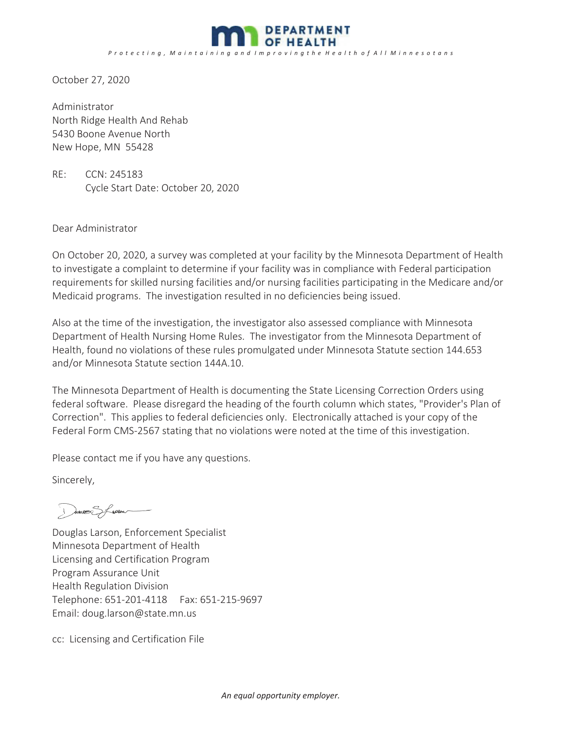

October 27, 2020

Administrator North Ridge Health And Rehab 5430 Boone Avenue North New Hope, MN 55428

RE: CCN: 245183 Cycle Start Date: October 20, 2020

Dear Administrator

On October 20, 2020, a survey was completed at your facility by the Minnesota Department of Health to investigate a complaint to determine if your facility was in compliance with Federal participation requirements for skilled nursing facilities and/or nursing facilities participating in the Medicare and/or Medicaid programs. The investigation resulted in no deficiencies being issued.

Also at the time of the investigation, the investigator also assessed compliance with Minnesota Department of Health Nursing Home Rules. The investigator from the Minnesota Department of Health, found no violations of these rules promulgated under Minnesota Statute section 144.653 and/or Minnesota Statute section 144A.10.

The Minnesota Department of Health is documenting the State Licensing Correction Orders using federal software. Please disregard the heading of the fourth column which states, "Provider's Plan of Correction". This applies to federal deficiencies only. Electronically attached is your copy of the Federal Form CMS-2567 stating that no violations were noted at the time of this investigation.

Please contact me if you have any questions.

Sincerely,

I directe of green

Douglas Larson, Enforcement Specialist Minnesota Department of Health Licensing and Certification Program Program Assurance Unit Health Regulation Division Telephone: 651-201-4118 Fax: 651-215-9697 Email: doug.larson@state.mn.us

cc: Licensing and Certification File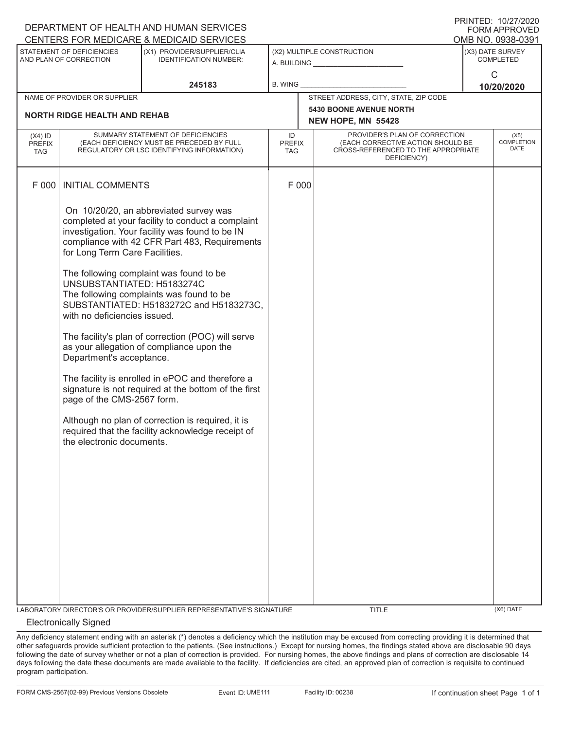| DEPARTMENT OF HEALTH AND HUMAN SERVICES<br><b>FORM APPROVED</b> |                                                                                                                                                                                     |                                                                                                                                                                                                                                                                                                                                                                                                                                                                                                                                                                                                                                                            |                            |                                                                                                                                                               |                                                      |  |                                   |  |
|-----------------------------------------------------------------|-------------------------------------------------------------------------------------------------------------------------------------------------------------------------------------|------------------------------------------------------------------------------------------------------------------------------------------------------------------------------------------------------------------------------------------------------------------------------------------------------------------------------------------------------------------------------------------------------------------------------------------------------------------------------------------------------------------------------------------------------------------------------------------------------------------------------------------------------------|----------------------------|---------------------------------------------------------------------------------------------------------------------------------------------------------------|------------------------------------------------------|--|-----------------------------------|--|
|                                                                 | CENTERS FOR MEDICARE & MEDICAID SERVICES<br>OMB NO. 0938-0391                                                                                                                       |                                                                                                                                                                                                                                                                                                                                                                                                                                                                                                                                                                                                                                                            |                            |                                                                                                                                                               |                                                      |  |                                   |  |
| STATEMENT OF DEFICIENCIES<br>AND PLAN OF CORRECTION             |                                                                                                                                                                                     | (X1) PROVIDER/SUPPLIER/CLIA<br><b>IDENTIFICATION NUMBER:</b>                                                                                                                                                                                                                                                                                                                                                                                                                                                                                                                                                                                               | (X2) MULTIPLE CONSTRUCTION |                                                                                                                                                               | (X3) DATE SURVEY<br><b>COMPLETED</b>                 |  |                                   |  |
| 245183                                                          |                                                                                                                                                                                     | B. WING                                                                                                                                                                                                                                                                                                                                                                                                                                                                                                                                                                                                                                                    |                            |                                                                                                                                                               | $\mathsf{C}$<br>10/20/2020                           |  |                                   |  |
|                                                                 | NAME OF PROVIDER OR SUPPLIER                                                                                                                                                        |                                                                                                                                                                                                                                                                                                                                                                                                                                                                                                                                                                                                                                                            |                            |                                                                                                                                                               | STREET ADDRESS, CITY, STATE, ZIP CODE                |  |                                   |  |
|                                                                 | <b>NORTH RIDGE HEALTH AND REHAB</b>                                                                                                                                                 |                                                                                                                                                                                                                                                                                                                                                                                                                                                                                                                                                                                                                                                            |                            |                                                                                                                                                               | <b>5430 BOONE AVENUE NORTH</b><br>NEW HOPE, MN 55428 |  |                                   |  |
| $(X4)$ ID<br><b>PREFIX</b><br><b>TAG</b>                        | SUMMARY STATEMENT OF DEFICIENCIES<br>(EACH DEFICIENCY MUST BE PRECEDED BY FULL<br>REGULATORY OR LSC IDENTIFYING INFORMATION)                                                        |                                                                                                                                                                                                                                                                                                                                                                                                                                                                                                                                                                                                                                                            |                            | PROVIDER'S PLAN OF CORRECTION<br>ID<br>(EACH CORRECTIVE ACTION SHOULD BE<br><b>PREFIX</b><br>CROSS-REFERENCED TO THE APPROPRIATE<br><b>TAG</b><br>DEFICIENCY) |                                                      |  | (X5)<br>COMPLETION<br><b>DATE</b> |  |
| F 000                                                           | <b>INITIAL COMMENTS</b>                                                                                                                                                             |                                                                                                                                                                                                                                                                                                                                                                                                                                                                                                                                                                                                                                                            |                            | F 000                                                                                                                                                         |                                                      |  |                                   |  |
|                                                                 | for Long Term Care Facilities.<br>UNSUBSTANTIATED: H5183274C<br>with no deficiencies issued.<br>Department's acceptance.<br>page of the CMS-2567 form.<br>the electronic documents. | On 10/20/20, an abbreviated survey was<br>completed at your facility to conduct a complaint<br>investigation. Your facility was found to be IN<br>compliance with 42 CFR Part 483, Requirements<br>The following complaint was found to be<br>The following complaints was found to be<br>SUBSTANTIATED: H5183272C and H5183273C,<br>The facility's plan of correction (POC) will serve<br>as your allegation of compliance upon the<br>The facility is enrolled in ePOC and therefore a<br>signature is not required at the bottom of the first<br>Although no plan of correction is required, it is<br>required that the facility acknowledge receipt of |                            |                                                                                                                                                               |                                                      |  |                                   |  |
|                                                                 |                                                                                                                                                                                     | LABORATORY DIRECTOR'S OR PROVIDER/SUPPLIER REPRESENTATIVE'S SIGNATURE                                                                                                                                                                                                                                                                                                                                                                                                                                                                                                                                                                                      |                            |                                                                                                                                                               | <b>TITLE</b>                                         |  | (X6) DATE                         |  |

## Electronically Signed

Any deficiency statement ending with an asterisk (\*) denotes a deficiency which the institution may be excused from correcting providing it is determined that other safeguards provide sufficient protection to the patients. (See instructions.) Except for nursing homes, the findings stated above are disclosable 90 days following the date of survey whether or not a plan of correction is provided. For nursing homes, the above findings and plans of correction are disclosable 14 days following the date these documents are made available to the facility. If deficiencies are cited, an approved plan of correction is requisite to continued program participation.

PRINTED: 10/27/2020  $CDMADDDQUP$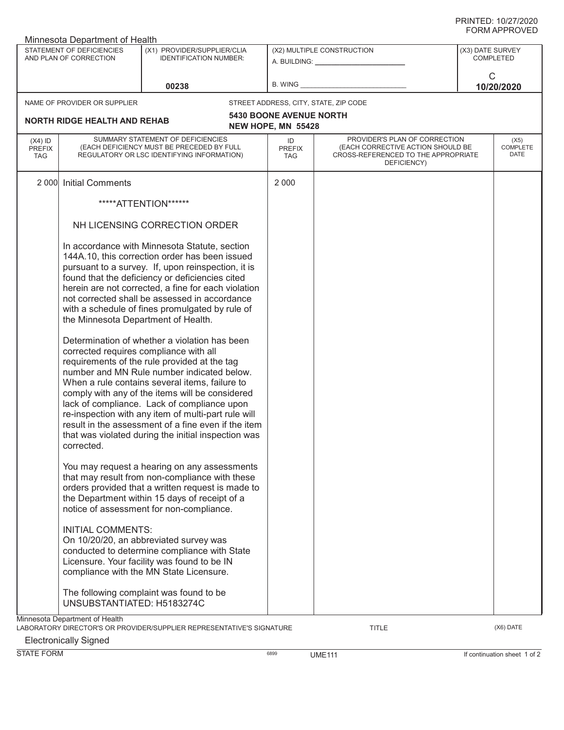| Minnesota Department of Health                      |                                                                                                                              |                                                                                                                                                                                                                                                                                                                                                                                                                                                                                                                                                                                                                                                                                                                                                                                                                                             |                                                         |                                                                                                                          |                                      |                          |  |  |
|-----------------------------------------------------|------------------------------------------------------------------------------------------------------------------------------|---------------------------------------------------------------------------------------------------------------------------------------------------------------------------------------------------------------------------------------------------------------------------------------------------------------------------------------------------------------------------------------------------------------------------------------------------------------------------------------------------------------------------------------------------------------------------------------------------------------------------------------------------------------------------------------------------------------------------------------------------------------------------------------------------------------------------------------------|---------------------------------------------------------|--------------------------------------------------------------------------------------------------------------------------|--------------------------------------|--------------------------|--|--|
| STATEMENT OF DEFICIENCIES<br>AND PLAN OF CORRECTION |                                                                                                                              | (X1) PROVIDER/SUPPLIER/CLIA<br><b>IDENTIFICATION NUMBER:</b>                                                                                                                                                                                                                                                                                                                                                                                                                                                                                                                                                                                                                                                                                                                                                                                | (X2) MULTIPLE CONSTRUCTION<br>A. BUILDING: A. BUILDING: |                                                                                                                          | (X3) DATE SURVEY<br><b>COMPLETED</b> |                          |  |  |
|                                                     |                                                                                                                              | 00238                                                                                                                                                                                                                                                                                                                                                                                                                                                                                                                                                                                                                                                                                                                                                                                                                                       | <b>B. WING</b>                                          |                                                                                                                          | C                                    | 10/20/2020               |  |  |
|                                                     | NAME OF PROVIDER OR SUPPLIER                                                                                                 |                                                                                                                                                                                                                                                                                                                                                                                                                                                                                                                                                                                                                                                                                                                                                                                                                                             |                                                         | STREET ADDRESS, CITY, STATE, ZIP CODE                                                                                    |                                      |                          |  |  |
|                                                     | <b>NORTH RIDGE HEALTH AND REHAB</b>                                                                                          |                                                                                                                                                                                                                                                                                                                                                                                                                                                                                                                                                                                                                                                                                                                                                                                                                                             | <b>5430 BOONE AVENUE NORTH</b><br>NEW HOPE, MN 55428    |                                                                                                                          |                                      |                          |  |  |
| $(X4)$ ID<br><b>PREFIX</b><br><b>TAG</b>            | SUMMARY STATEMENT OF DEFICIENCIES<br>(EACH DEFICIENCY MUST BE PRECEDED BY FULL<br>REGULATORY OR LSC IDENTIFYING INFORMATION) |                                                                                                                                                                                                                                                                                                                                                                                                                                                                                                                                                                                                                                                                                                                                                                                                                                             | ID<br><b>PREFIX</b><br><b>TAG</b>                       | PROVIDER'S PLAN OF CORRECTION<br>(EACH CORRECTIVE ACTION SHOULD BE<br>CROSS-REFERENCED TO THE APPROPRIATE<br>DEFICIENCY) |                                      | (X5)<br>COMPLETE<br>DATE |  |  |
| 2 0 0 0                                             | <b>Initial Comments</b>                                                                                                      |                                                                                                                                                                                                                                                                                                                                                                                                                                                                                                                                                                                                                                                                                                                                                                                                                                             | 2 0 0 0                                                 |                                                                                                                          |                                      |                          |  |  |
|                                                     |                                                                                                                              | *****ATTENTION******                                                                                                                                                                                                                                                                                                                                                                                                                                                                                                                                                                                                                                                                                                                                                                                                                        |                                                         |                                                                                                                          |                                      |                          |  |  |
|                                                     | NH LICENSING CORRECTION ORDER                                                                                                |                                                                                                                                                                                                                                                                                                                                                                                                                                                                                                                                                                                                                                                                                                                                                                                                                                             |                                                         |                                                                                                                          |                                      |                          |  |  |
|                                                     | the Minnesota Department of Health.<br>corrected requires compliance with all<br>corrected.                                  | In accordance with Minnesota Statute, section<br>144A.10, this correction order has been issued<br>pursuant to a survey. If, upon reinspection, it is<br>found that the deficiency or deficiencies cited<br>herein are not corrected, a fine for each violation<br>not corrected shall be assessed in accordance<br>with a schedule of fines promulgated by rule of<br>Determination of whether a violation has been<br>requirements of the rule provided at the tag<br>number and MN Rule number indicated below.<br>When a rule contains several items, failure to<br>comply with any of the items will be considered<br>lack of compliance. Lack of compliance upon<br>re-inspection with any item of multi-part rule will<br>result in the assessment of a fine even if the item<br>that was violated during the initial inspection was |                                                         |                                                                                                                          |                                      |                          |  |  |
|                                                     |                                                                                                                              | You may request a hearing on any assessments<br>that may result from non-compliance with these<br>orders provided that a written request is made to<br>the Department within 15 days of receipt of a<br>notice of assessment for non-compliance.                                                                                                                                                                                                                                                                                                                                                                                                                                                                                                                                                                                            |                                                         |                                                                                                                          |                                      |                          |  |  |
|                                                     | <b>INITIAL COMMENTS:</b>                                                                                                     | On 10/20/20, an abbreviated survey was<br>conducted to determine compliance with State<br>Licensure. Your facility was found to be IN<br>compliance with the MN State Licensure.                                                                                                                                                                                                                                                                                                                                                                                                                                                                                                                                                                                                                                                            |                                                         |                                                                                                                          |                                      |                          |  |  |
|                                                     | UNSUBSTANTIATED: H5183274C                                                                                                   | The following complaint was found to be                                                                                                                                                                                                                                                                                                                                                                                                                                                                                                                                                                                                                                                                                                                                                                                                     |                                                         |                                                                                                                          |                                      |                          |  |  |
|                                                     | Minnesota Department of Health                                                                                               | LABORATORY DIRECTOR'S OR PROVIDER/SUPPLIER REPRESENTATIVE'S SIGNATURE                                                                                                                                                                                                                                                                                                                                                                                                                                                                                                                                                                                                                                                                                                                                                                       |                                                         | TITLE                                                                                                                    |                                      | (X6) DATE                |  |  |

Electronically Signed